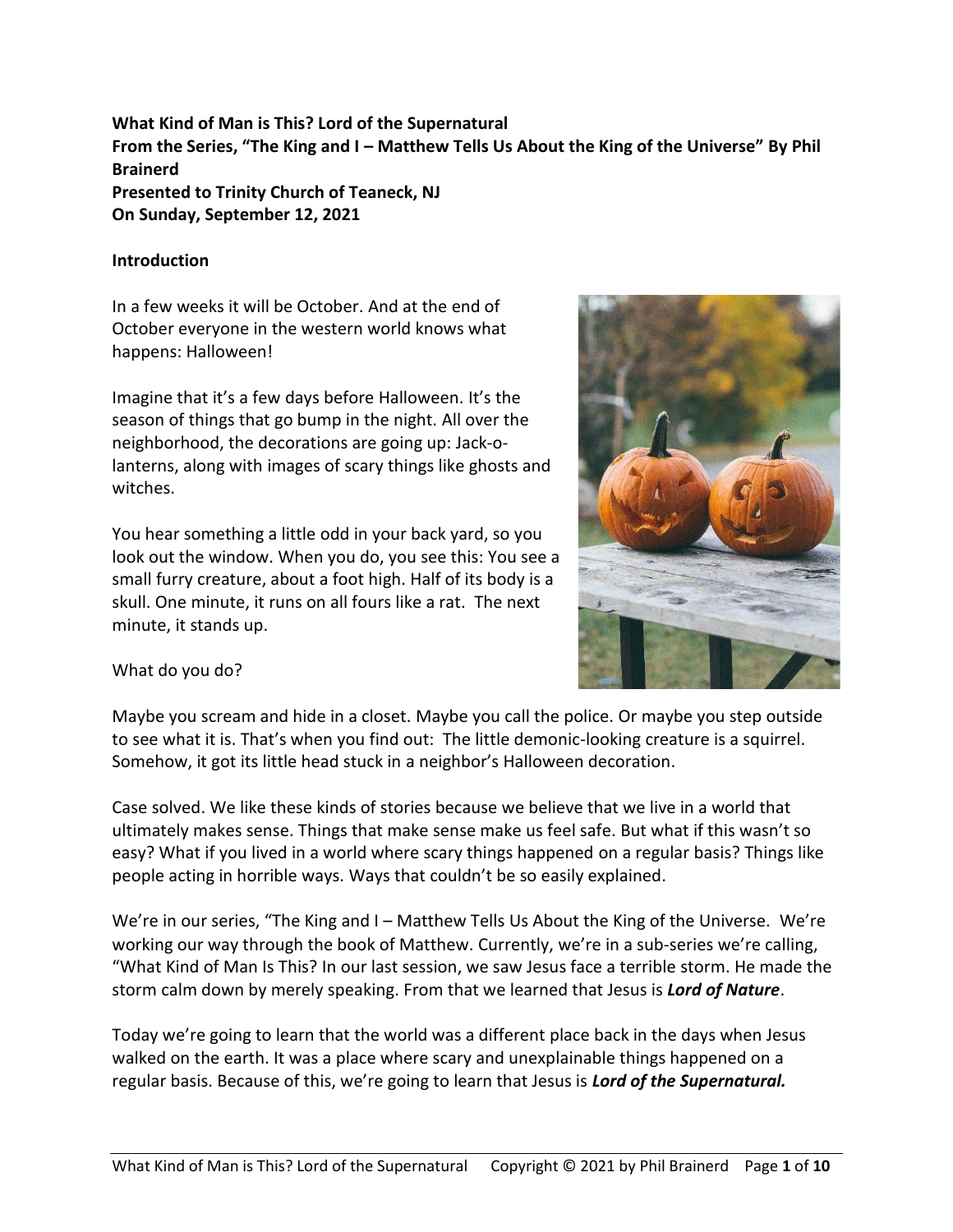**What Kind of Man is This? Lord of the Supernatural From the Series, "The King and I – Matthew Tells Us About the King of the Universe" By Phil Brainerd Presented to Trinity Church of Teaneck, NJ On Sunday, September 12, 2021**

#### **Introduction**

In a few weeks it will be October. And at the end of October everyone in the western world knows what happens: Halloween!

Imagine that it's a few days before Halloween. It's the season of things that go bump in the night. All over the neighborhood, the decorations are going up: Jack-olanterns, along with images of scary things like ghosts and witches.

You hear something a little odd in your back yard, so you look out the window. When you do, you see this: You see a small furry creature, about a foot high. Half of its body is a skull. One minute, it runs on all fours like a rat. The next minute, it stands up.



What do you do?

Maybe you scream and hide in a closet. Maybe you call the police. Or maybe you step outside to see what it is. That's when you find out: The little demonic-looking creature is a squirrel. Somehow, it got its little head stuck in a neighbor's Halloween decoration.

Case solved. We like these kinds of stories because we believe that we live in a world that ultimately makes sense. Things that make sense make us feel safe. But what if this wasn't so easy? What if you lived in a world where scary things happened on a regular basis? Things like people acting in horrible ways. Ways that couldn't be so easily explained.

We're in our series, "The King and I – Matthew Tells Us About the King of the Universe. We're working our way through the book of Matthew. Currently, we're in a sub-series we're calling, "What Kind of Man Is This? In our last session, we saw Jesus face a terrible storm. He made the storm calm down by merely speaking. From that we learned that Jesus is *Lord of Nature*.

Today we're going to learn that the world was a different place back in the days when Jesus walked on the earth. It was a place where scary and unexplainable things happened on a regular basis. Because of this, we're going to learn that Jesus is *Lord of the Supernatural.*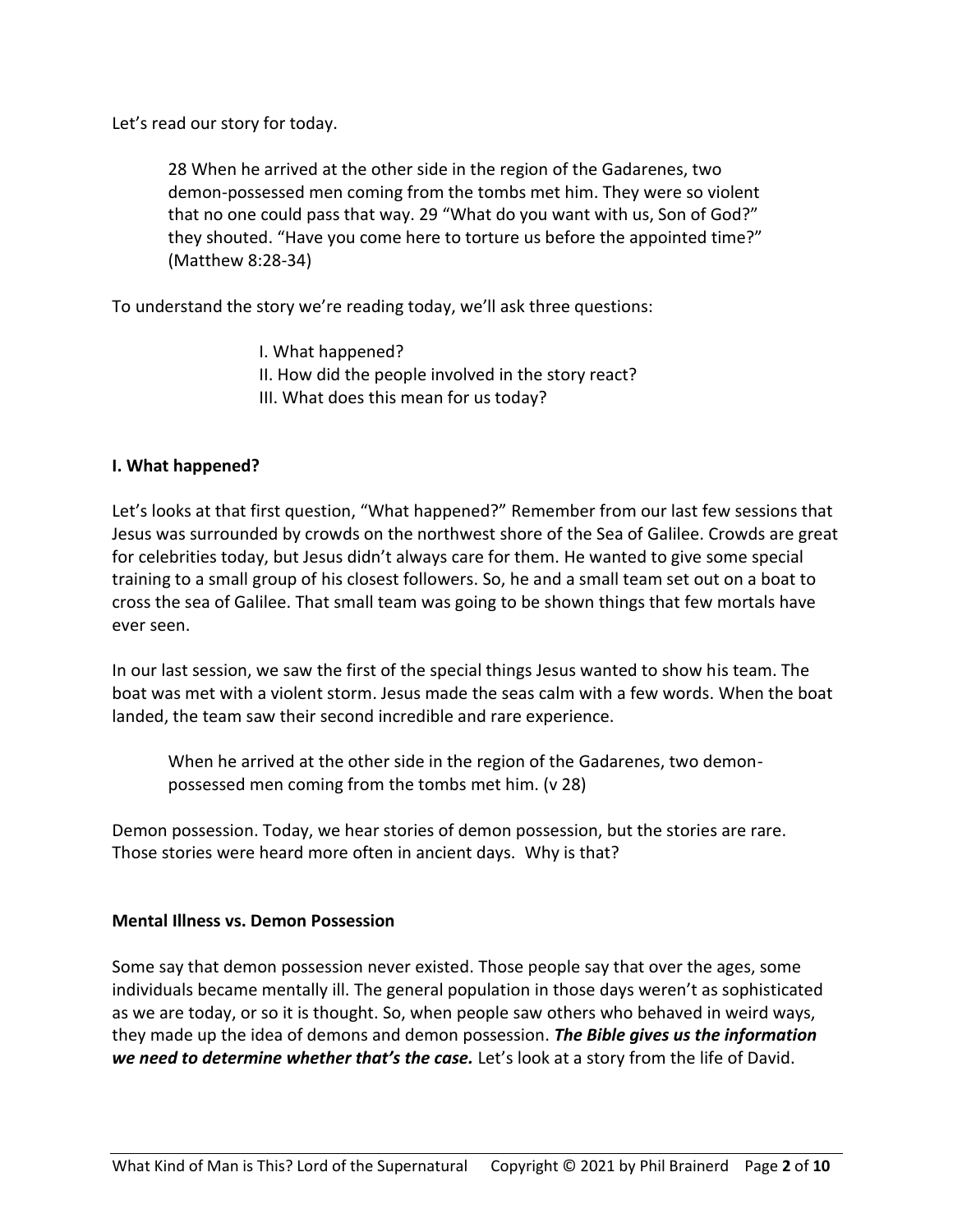Let's read our story for today.

28 When he arrived at the other side in the region of the Gadarenes, two demon-possessed men coming from the tombs met him. They were so violent that no one could pass that way. 29 "What do you want with us, Son of God?" they shouted. "Have you come here to torture us before the appointed time?" (Matthew 8:28-34)

To understand the story we're reading today, we'll ask three questions:

I. What happened? II. How did the people involved in the story react? III. What does this mean for us today?

### **I. What happened?**

Let's looks at that first question, "What happened?" Remember from our last few sessions that Jesus was surrounded by crowds on the northwest shore of the Sea of Galilee. Crowds are great for celebrities today, but Jesus didn't always care for them. He wanted to give some special training to a small group of his closest followers. So, he and a small team set out on a boat to cross the sea of Galilee. That small team was going to be shown things that few mortals have ever seen.

In our last session, we saw the first of the special things Jesus wanted to show his team. The boat was met with a violent storm. Jesus made the seas calm with a few words. When the boat landed, the team saw their second incredible and rare experience.

When he arrived at the other side in the region of the Gadarenes, two demonpossessed men coming from the tombs met him. (v 28)

Demon possession. Today, we hear stories of demon possession, but the stories are rare. Those stories were heard more often in ancient days. Why is that?

#### **Mental Illness vs. Demon Possession**

Some say that demon possession never existed. Those people say that over the ages, some individuals became mentally ill. The general population in those days weren't as sophisticated as we are today, or so it is thought. So, when people saw others who behaved in weird ways, they made up the idea of demons and demon possession. *The Bible gives us the information we need to determine whether that's the case.* Let's look at a story from the life of David.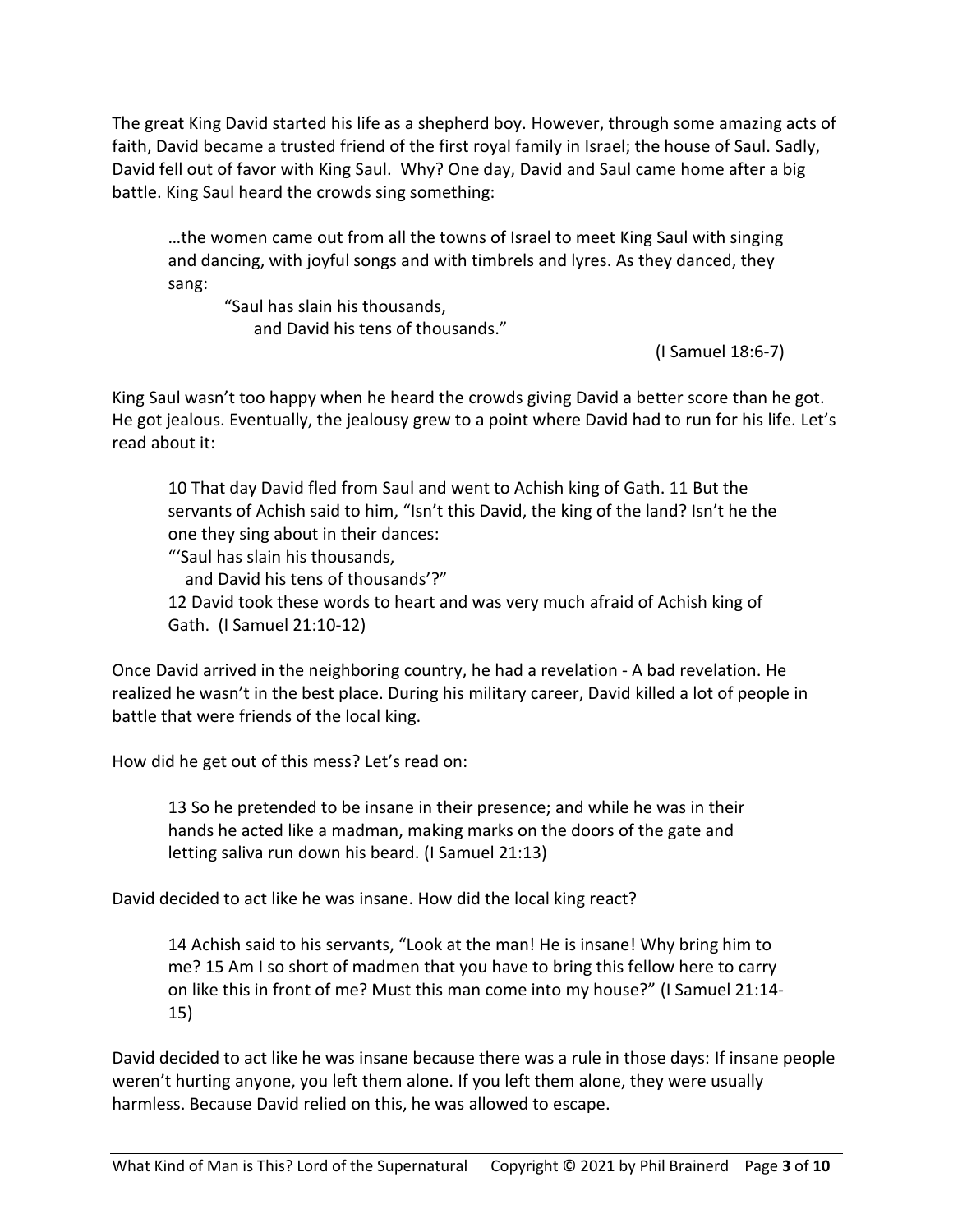The great King David started his life as a shepherd boy. However, through some amazing acts of faith, David became a trusted friend of the first royal family in Israel; the house of Saul. Sadly, David fell out of favor with King Saul. Why? One day, David and Saul came home after a big battle. King Saul heard the crowds sing something:

…the women came out from all the towns of Israel to meet King Saul with singing and dancing, with joyful songs and with timbrels and lyres. As they danced, they sang:

"Saul has slain his thousands, and David his tens of thousands."

(I Samuel 18:6-7)

King Saul wasn't too happy when he heard the crowds giving David a better score than he got. He got jealous. Eventually, the jealousy grew to a point where David had to run for his life. Let's read about it:

10 That day David fled from Saul and went to Achish king of Gath. 11 But the servants of Achish said to him, "Isn't this David, the king of the land? Isn't he the one they sing about in their dances:

"'Saul has slain his thousands,

and David his tens of thousands'?"

12 David took these words to heart and was very much afraid of Achish king of Gath. (I Samuel 21:10-12)

Once David arrived in the neighboring country, he had a revelation - A bad revelation. He realized he wasn't in the best place. During his military career, David killed a lot of people in battle that were friends of the local king.

How did he get out of this mess? Let's read on:

13 So he pretended to be insane in their presence; and while he was in their hands he acted like a madman, making marks on the doors of the gate and letting saliva run down his beard. (I Samuel 21:13)

David decided to act like he was insane. How did the local king react?

14 Achish said to his servants, "Look at the man! He is insane! Why bring him to me? 15 Am I so short of madmen that you have to bring this fellow here to carry on like this in front of me? Must this man come into my house?" (I Samuel 21:14- 15)

David decided to act like he was insane because there was a rule in those days: If insane people weren't hurting anyone, you left them alone. If you left them alone, they were usually harmless. Because David relied on this, he was allowed to escape.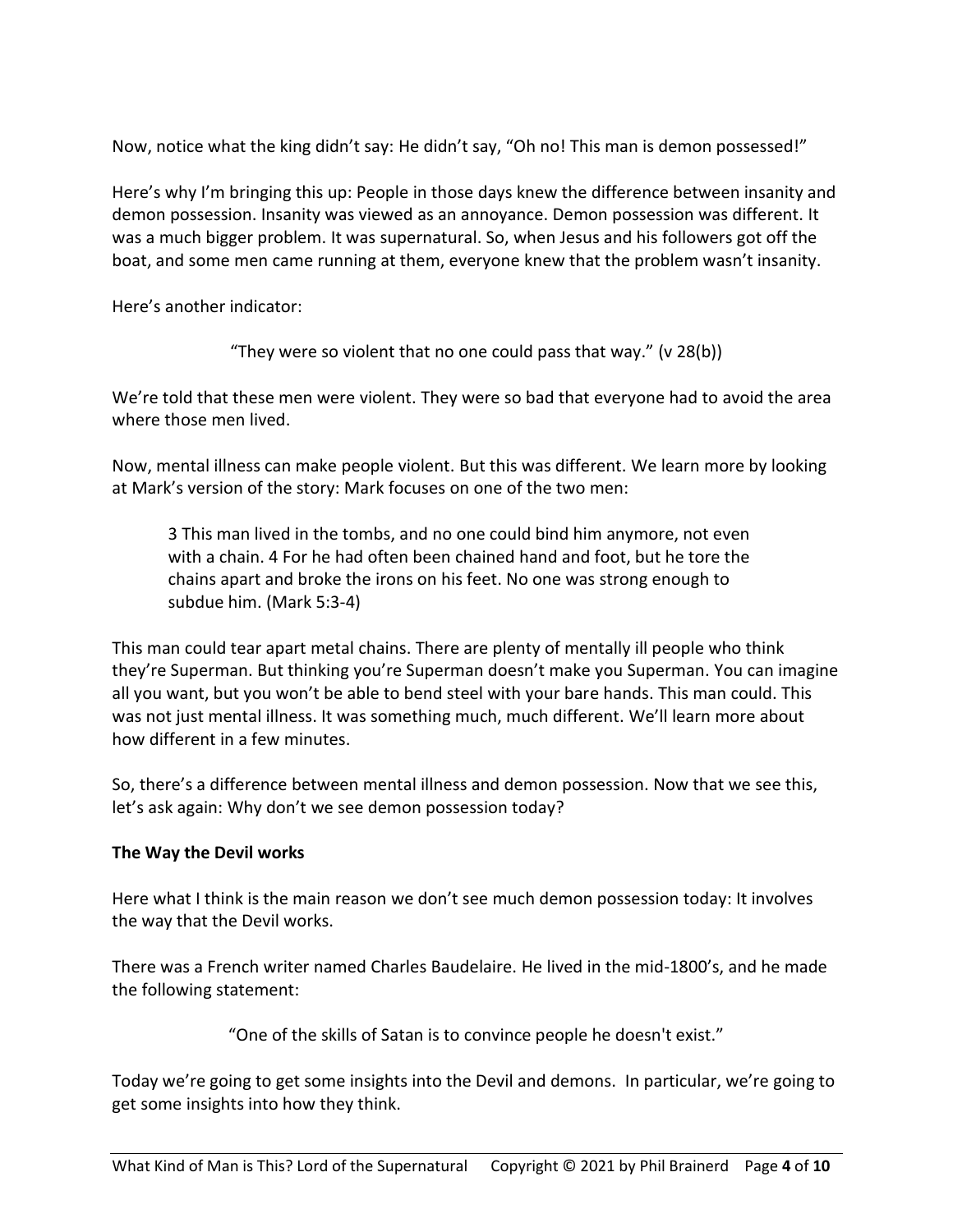Now, notice what the king didn't say: He didn't say, "Oh no! This man is demon possessed!"

Here's why I'm bringing this up: People in those days knew the difference between insanity and demon possession. Insanity was viewed as an annoyance. Demon possession was different. It was a much bigger problem. It was supernatural. So, when Jesus and his followers got off the boat, and some men came running at them, everyone knew that the problem wasn't insanity.

Here's another indicator:

"They were so violent that no one could pass that way." (v  $28(b)$ )

We're told that these men were violent. They were so bad that everyone had to avoid the area where those men lived.

Now, mental illness can make people violent. But this was different. We learn more by looking at Mark's version of the story: Mark focuses on one of the two men:

3 This man lived in the tombs, and no one could bind him anymore, not even with a chain. 4 For he had often been chained hand and foot, but he tore the chains apart and broke the irons on his feet. No one was strong enough to subdue him. (Mark 5:3-4)

This man could tear apart metal chains. There are plenty of mentally ill people who think they're Superman. But thinking you're Superman doesn't make you Superman. You can imagine all you want, but you won't be able to bend steel with your bare hands. This man could. This was not just mental illness. It was something much, much different. We'll learn more about how different in a few minutes.

So, there's a difference between mental illness and demon possession. Now that we see this, let's ask again: Why don't we see demon possession today?

# **The Way the Devil works**

Here what I think is the main reason we don't see much demon possession today: It involves the way that the Devil works.

There was a French writer named Charles Baudelaire. He lived in the mid-1800's, and he made the following statement:

"One of the skills of Satan is to convince people he doesn't exist."

Today we're going to get some insights into the Devil and demons. In particular, we're going to get some insights into how they think.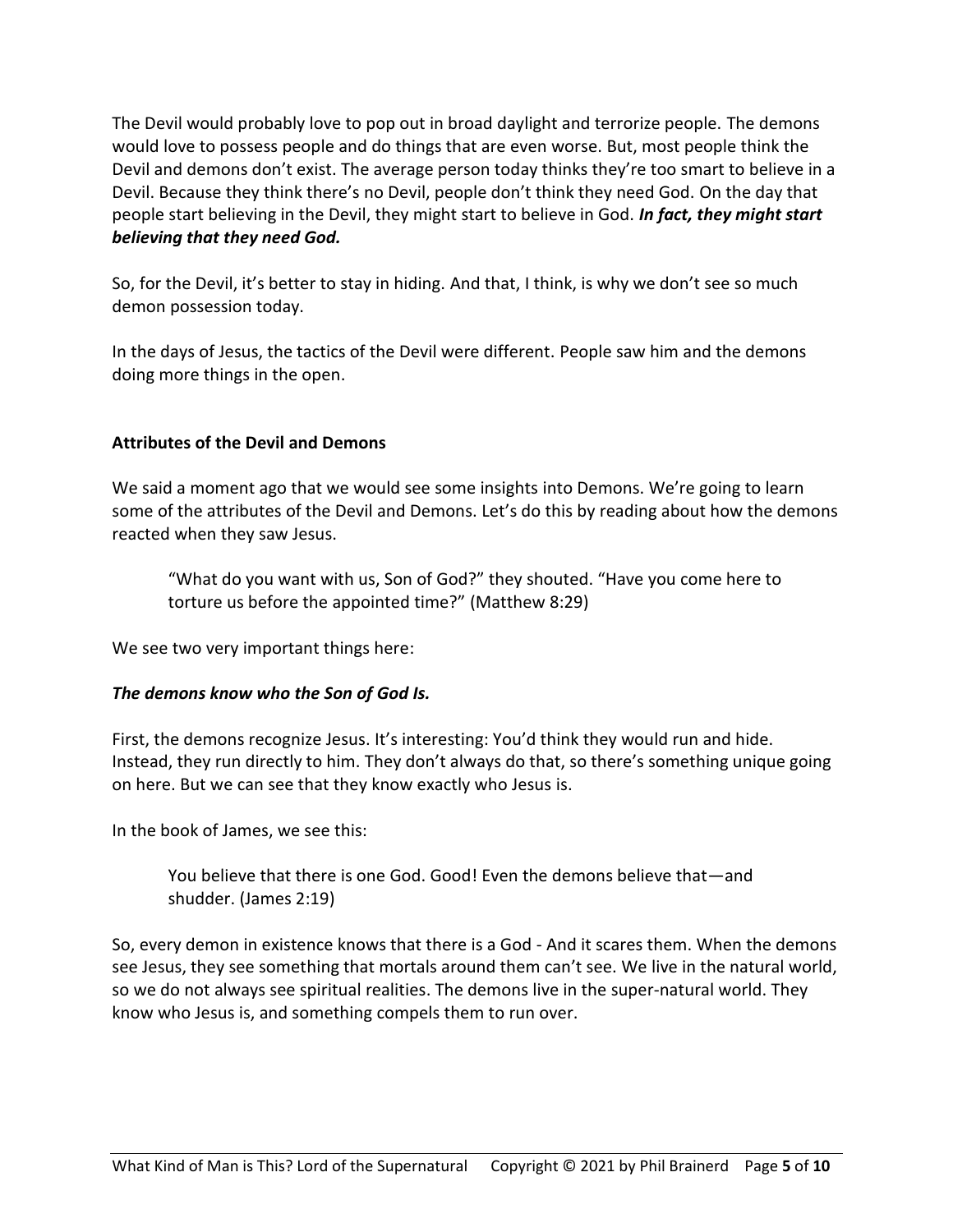The Devil would probably love to pop out in broad daylight and terrorize people. The demons would love to possess people and do things that are even worse. But, most people think the Devil and demons don't exist. The average person today thinks they're too smart to believe in a Devil. Because they think there's no Devil, people don't think they need God. On the day that people start believing in the Devil, they might start to believe in God. *In fact, they might start believing that they need God.*

So, for the Devil, it's better to stay in hiding. And that, I think, is why we don't see so much demon possession today.

In the days of Jesus, the tactics of the Devil were different. People saw him and the demons doing more things in the open.

# **Attributes of the Devil and Demons**

We said a moment ago that we would see some insights into Demons. We're going to learn some of the attributes of the Devil and Demons. Let's do this by reading about how the demons reacted when they saw Jesus.

"What do you want with us, Son of God?" they shouted. "Have you come here to torture us before the appointed time?" (Matthew 8:29)

We see two very important things here:

### *The demons know who the Son of God Is.*

First, the demons recognize Jesus. It's interesting: You'd think they would run and hide. Instead, they run directly to him. They don't always do that, so there's something unique going on here. But we can see that they know exactly who Jesus is.

In the book of James, we see this:

You believe that there is one God. Good! Even the demons believe that—and shudder. (James 2:19)

So, every demon in existence knows that there is a God - And it scares them. When the demons see Jesus, they see something that mortals around them can't see. We live in the natural world, so we do not always see spiritual realities. The demons live in the super-natural world. They know who Jesus is, and something compels them to run over.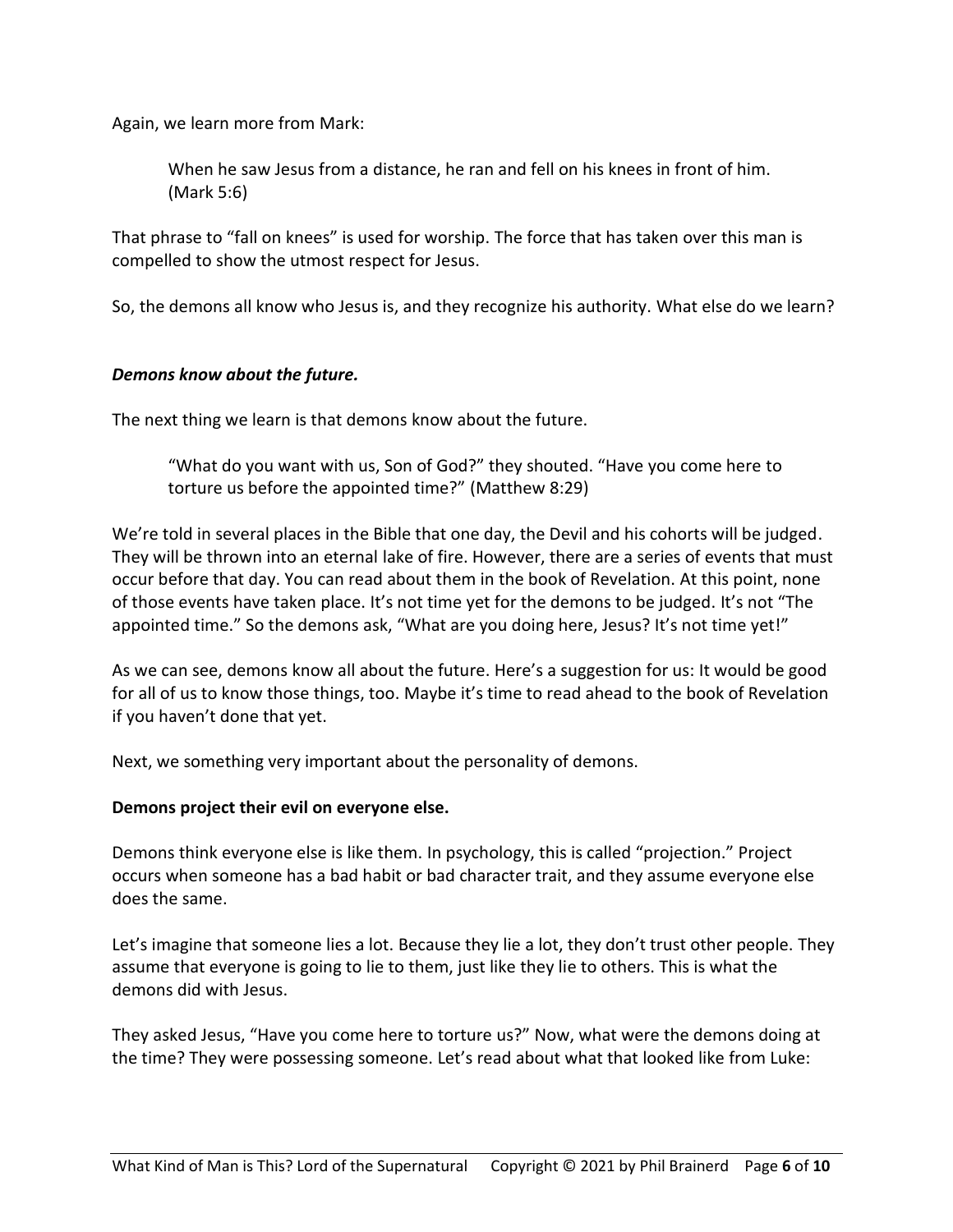Again, we learn more from Mark:

When he saw Jesus from a distance, he ran and fell on his knees in front of him. (Mark 5:6)

That phrase to "fall on knees" is used for worship. The force that has taken over this man is compelled to show the utmost respect for Jesus.

So, the demons all know who Jesus is, and they recognize his authority. What else do we learn?

### *Demons know about the future.*

The next thing we learn is that demons know about the future.

"What do you want with us, Son of God?" they shouted. "Have you come here to torture us before the appointed time?" (Matthew 8:29)

We're told in several places in the Bible that one day, the Devil and his cohorts will be judged. They will be thrown into an eternal lake of fire. However, there are a series of events that must occur before that day. You can read about them in the book of Revelation. At this point, none of those events have taken place. It's not time yet for the demons to be judged. It's not "The appointed time." So the demons ask, "What are you doing here, Jesus? It's not time yet!"

As we can see, demons know all about the future. Here's a suggestion for us: It would be good for all of us to know those things, too. Maybe it's time to read ahead to the book of Revelation if you haven't done that yet.

Next, we something very important about the personality of demons.

### **Demons project their evil on everyone else.**

Demons think everyone else is like them. In psychology, this is called "projection." Project occurs when someone has a bad habit or bad character trait, and they assume everyone else does the same.

Let's imagine that someone lies a lot. Because they lie a lot, they don't trust other people. They assume that everyone is going to lie to them, just like they lie to others. This is what the demons did with Jesus.

They asked Jesus, "Have you come here to torture us?" Now, what were the demons doing at the time? They were possessing someone. Let's read about what that looked like from Luke: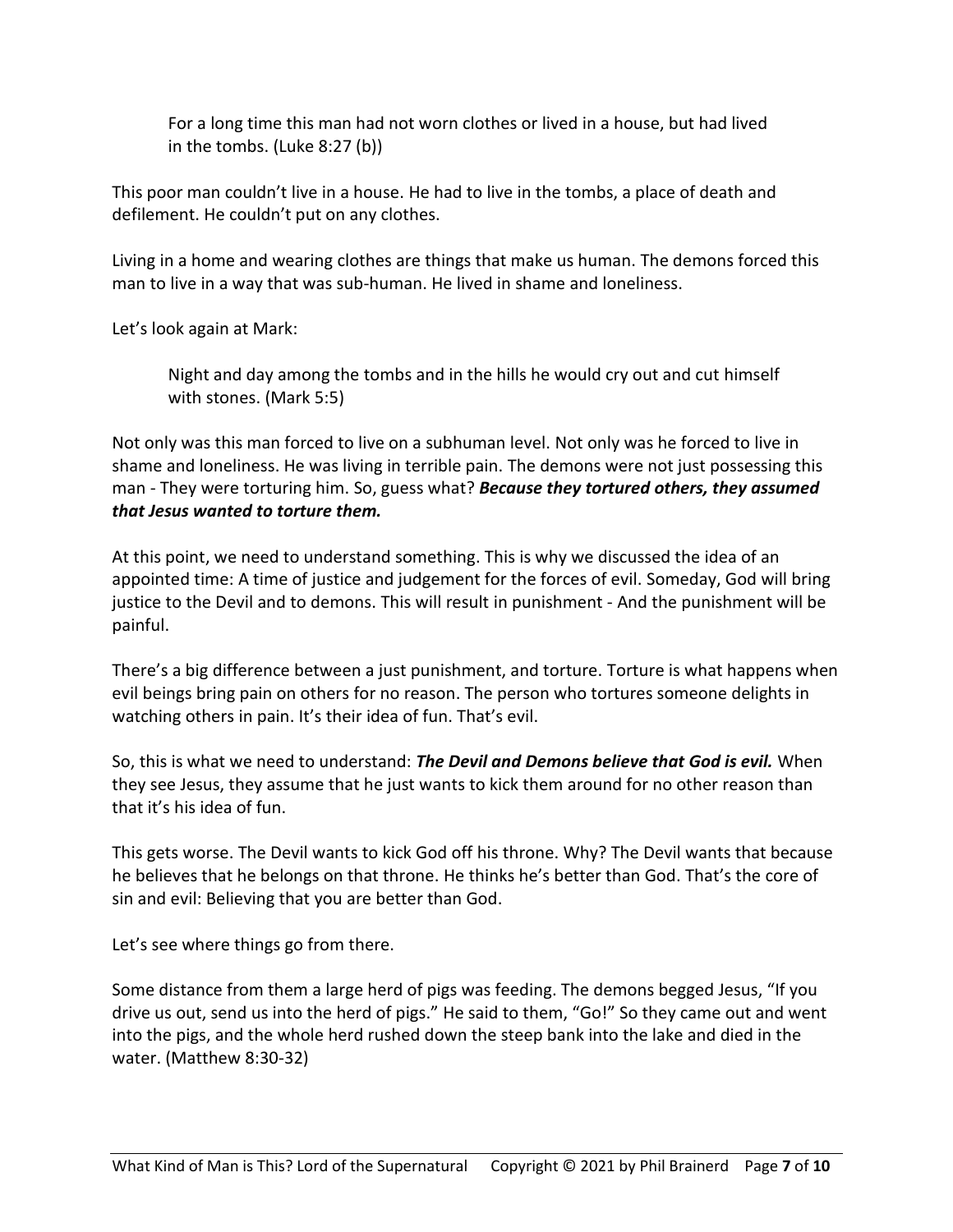For a long time this man had not worn clothes or lived in a house, but had lived in the tombs. (Luke 8:27 (b))

This poor man couldn't live in a house. He had to live in the tombs, a place of death and defilement. He couldn't put on any clothes.

Living in a home and wearing clothes are things that make us human. The demons forced this man to live in a way that was sub-human. He lived in shame and loneliness.

Let's look again at Mark:

Night and day among the tombs and in the hills he would cry out and cut himself with stones. (Mark 5:5)

Not only was this man forced to live on a subhuman level. Not only was he forced to live in shame and loneliness. He was living in terrible pain. The demons were not just possessing this man - They were torturing him. So, guess what? *Because they tortured others, they assumed that Jesus wanted to torture them.*

At this point, we need to understand something. This is why we discussed the idea of an appointed time: A time of justice and judgement for the forces of evil. Someday, God will bring justice to the Devil and to demons. This will result in punishment - And the punishment will be painful.

There's a big difference between a just punishment, and torture. Torture is what happens when evil beings bring pain on others for no reason. The person who tortures someone delights in watching others in pain. It's their idea of fun. That's evil.

So, this is what we need to understand: *The Devil and Demons believe that God is evil.* When they see Jesus, they assume that he just wants to kick them around for no other reason than that it's his idea of fun.

This gets worse. The Devil wants to kick God off his throne. Why? The Devil wants that because he believes that he belongs on that throne. He thinks he's better than God. That's the core of sin and evil: Believing that you are better than God.

Let's see where things go from there.

Some distance from them a large herd of pigs was feeding. The demons begged Jesus, "If you drive us out, send us into the herd of pigs." He said to them, "Go!" So they came out and went into the pigs, and the whole herd rushed down the steep bank into the lake and died in the water. (Matthew 8:30-32)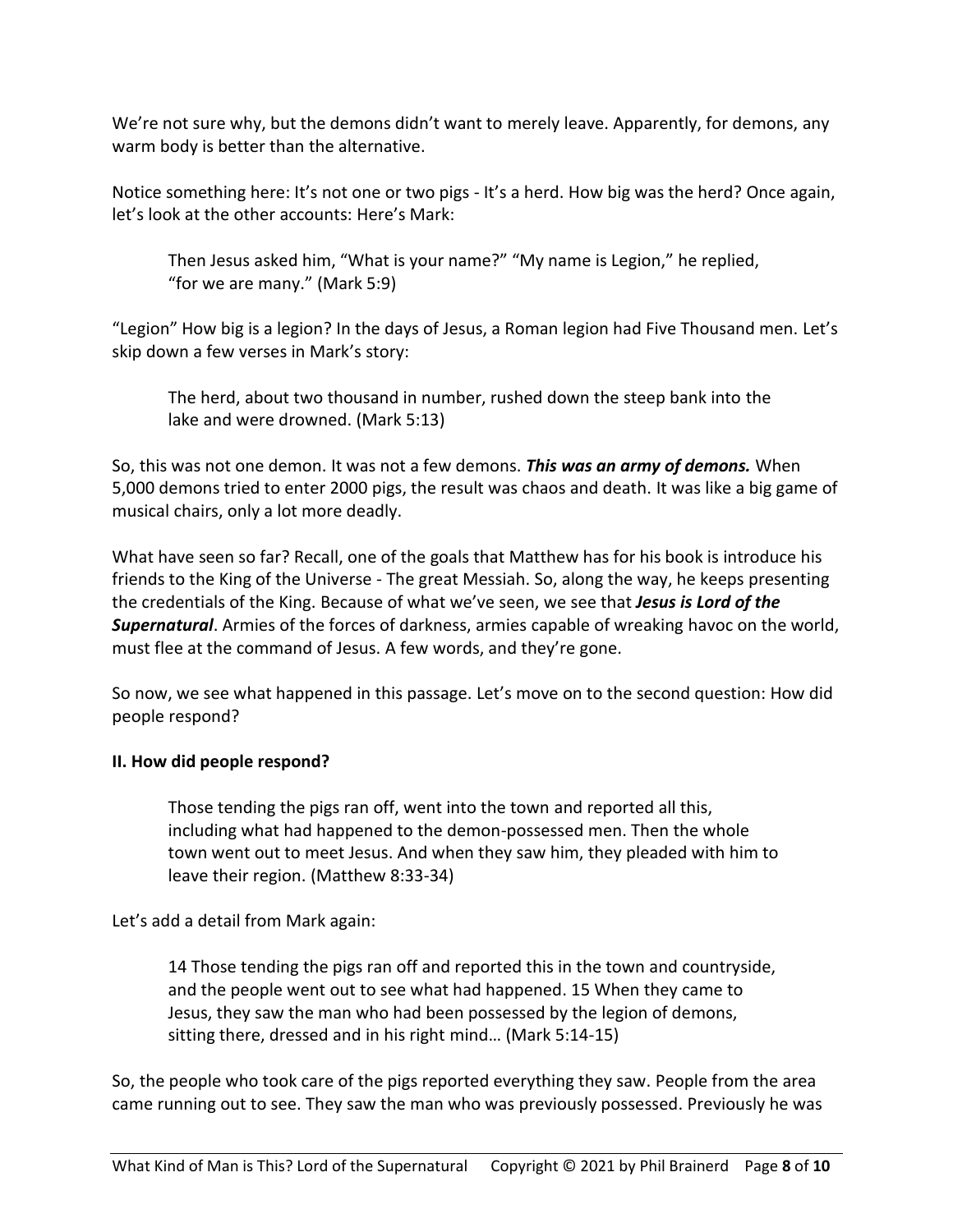We're not sure why, but the demons didn't want to merely leave. Apparently, for demons, any warm body is better than the alternative.

Notice something here: It's not one or two pigs - It's a herd. How big was the herd? Once again, let's look at the other accounts: Here's Mark:

Then Jesus asked him, "What is your name?" "My name is Legion," he replied, "for we are many." (Mark 5:9)

"Legion" How big is a legion? In the days of Jesus, a Roman legion had Five Thousand men. Let's skip down a few verses in Mark's story:

The herd, about two thousand in number, rushed down the steep bank into the lake and were drowned. (Mark 5:13)

So, this was not one demon. It was not a few demons. *This was an army of demons.* When 5,000 demons tried to enter 2000 pigs, the result was chaos and death. It was like a big game of musical chairs, only a lot more deadly.

What have seen so far? Recall, one of the goals that Matthew has for his book is introduce his friends to the King of the Universe - The great Messiah. So, along the way, he keeps presenting the credentials of the King. Because of what we've seen, we see that *Jesus is Lord of the Supernatural*. Armies of the forces of darkness, armies capable of wreaking havoc on the world, must flee at the command of Jesus. A few words, and they're gone.

So now, we see what happened in this passage. Let's move on to the second question: How did people respond?

# **II. How did people respond?**

Those tending the pigs ran off, went into the town and reported all this, including what had happened to the demon-possessed men. Then the whole town went out to meet Jesus. And when they saw him, they pleaded with him to leave their region. (Matthew 8:33-34)

Let's add a detail from Mark again:

14 Those tending the pigs ran off and reported this in the town and countryside, and the people went out to see what had happened. 15 When they came to Jesus, they saw the man who had been possessed by the legion of demons, sitting there, dressed and in his right mind… (Mark 5:14-15)

So, the people who took care of the pigs reported everything they saw. People from the area came running out to see. They saw the man who was previously possessed. Previously he was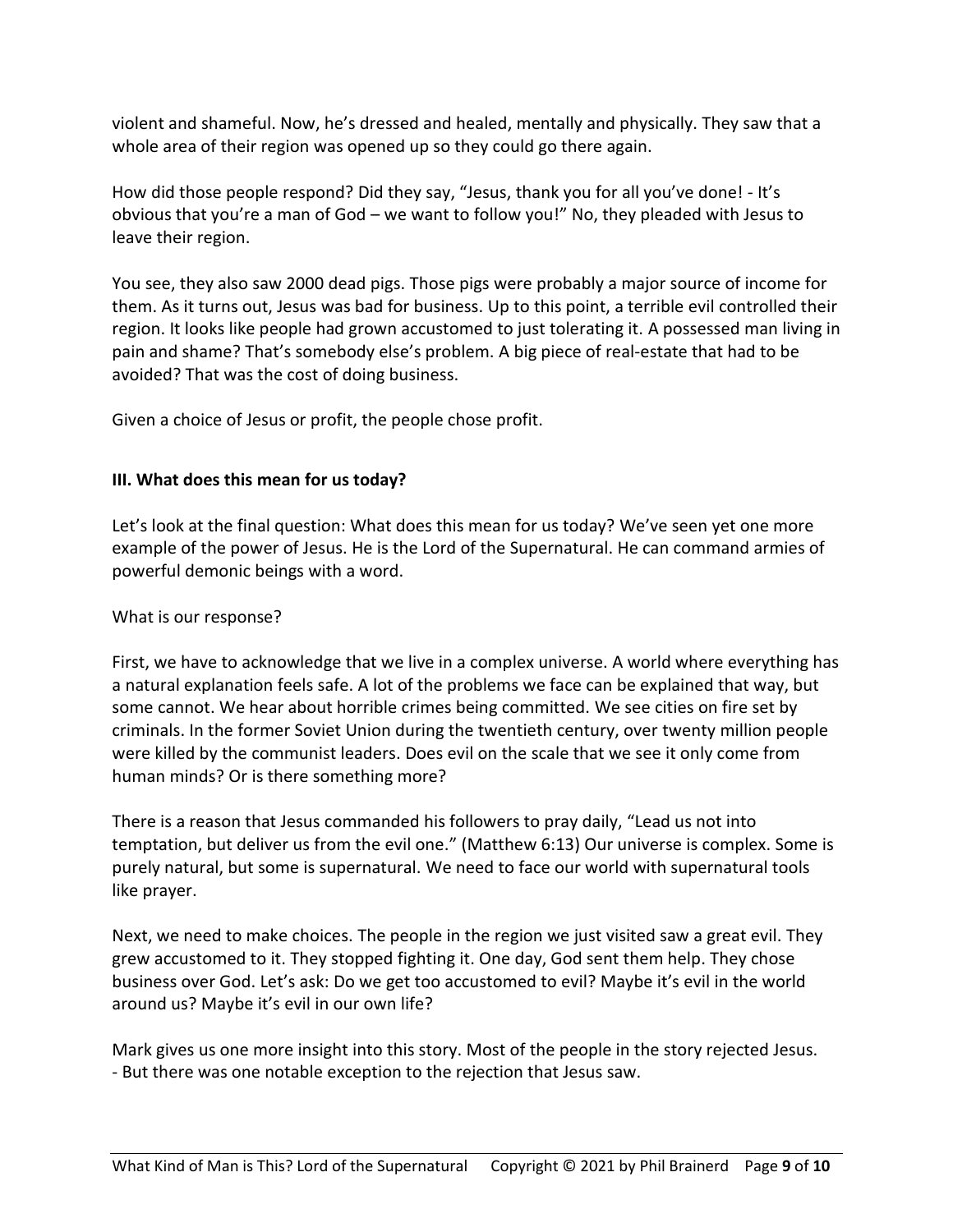violent and shameful. Now, he's dressed and healed, mentally and physically. They saw that a whole area of their region was opened up so they could go there again.

How did those people respond? Did they say, "Jesus, thank you for all you've done! - It's obvious that you're a man of God – we want to follow you!" No, they pleaded with Jesus to leave their region.

You see, they also saw 2000 dead pigs. Those pigs were probably a major source of income for them. As it turns out, Jesus was bad for business. Up to this point, a terrible evil controlled their region. It looks like people had grown accustomed to just tolerating it. A possessed man living in pain and shame? That's somebody else's problem. A big piece of real-estate that had to be avoided? That was the cost of doing business.

Given a choice of Jesus or profit, the people chose profit.

# **III. What does this mean for us today?**

Let's look at the final question: What does this mean for us today? We've seen yet one more example of the power of Jesus. He is the Lord of the Supernatural. He can command armies of powerful demonic beings with a word.

# What is our response?

First, we have to acknowledge that we live in a complex universe. A world where everything has a natural explanation feels safe. A lot of the problems we face can be explained that way, but some cannot. We hear about horrible crimes being committed. We see cities on fire set by criminals. In the former Soviet Union during the twentieth century, over twenty million people were killed by the communist leaders. Does evil on the scale that we see it only come from human minds? Or is there something more?

There is a reason that Jesus commanded his followers to pray daily, "Lead us not into temptation, but deliver us from the evil one." (Matthew 6:13) Our universe is complex. Some is purely natural, but some is supernatural. We need to face our world with supernatural tools like prayer.

Next, we need to make choices. The people in the region we just visited saw a great evil. They grew accustomed to it. They stopped fighting it. One day, God sent them help. They chose business over God. Let's ask: Do we get too accustomed to evil? Maybe it's evil in the world around us? Maybe it's evil in our own life?

Mark gives us one more insight into this story. Most of the people in the story rejected Jesus. - But there was one notable exception to the rejection that Jesus saw.